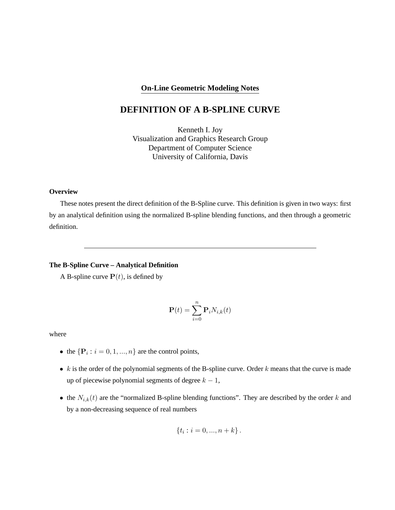### **On-Line Geometric Modeling Notes**

# **DEFINITION OF A B-SPLINE CURVE**

Kenneth I. Joy Visualization and Graphics Research Group Department of Computer Science University of California, Davis

### **Overview**

These notes present the direct definition of the B-Spline curve. This definition is given in two ways: first by an analytical definition using the normalized B-spline blending functions, and then through a geometric definition.

## **The B-Spline Curve – Analytical Definition**

A B-spline curve  $P(t)$ , is defined by

$$
\mathbf{P}(t) = \sum_{i=0}^{n} \mathbf{P}_{i} N_{i,k}(t)
$$

where

- the  $\{P_i : i = 0, 1, ..., n\}$  are the control points,
- $k$  is the order of the polynomial segments of the B-spline curve. Order  $k$  means that the curve is made up of piecewise polynomial segments of degree  $k - 1$ ,
- the  $N_{i,k}(t)$  are the "normalized B-spline blending functions". They are described by the order k and by a non-decreasing sequence of real numbers

$$
\{t_i : i = 0, ..., n + k\}.
$$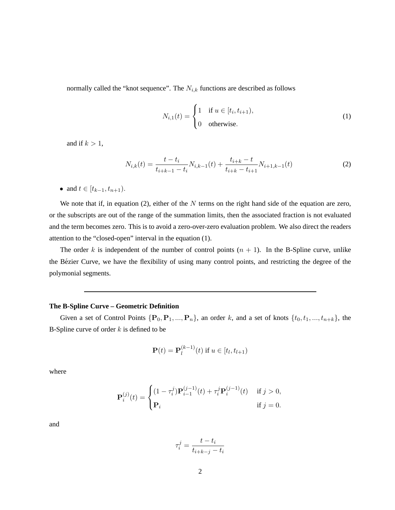normally called the "knot sequence". The  $N_{i,k}$  functions are described as follows

$$
N_{i,1}(t) = \begin{cases} 1 & \text{if } u \in [t_i, t_{i+1}), \\ 0 & \text{otherwise.} \end{cases}
$$
 (1)

and if  $k > 1$ ,

$$
N_{i,k}(t) = \frac{t - t_i}{t_{i+k-1} - t_i} N_{i,k-1}(t) + \frac{t_{i+k} - t}{t_{i+k} - t_{i+1}} N_{i+1,k-1}(t)
$$
\n(2)

• and  $t \in [t_{k-1}, t_{n+1})$ .

We note that if, in equation (2), either of the  $N$  terms on the right hand side of the equation are zero, or the subscripts are out of the range of the summation limits, then the associated fraction is not evaluated and the term becomes zero. This is to avoid a zero-over-zero evaluation problem. We also direct the readers attention to the "closed-open" interval in the equation (1).

The order k is independent of the number of control points  $(n + 1)$ . In the B-Spline curve, unlike the Bézier Curve, we have the flexibility of using many control points, and restricting the degree of the polymonial segments.

### **The B-Spline Curve – Geometric Definition**

Given a set of Control Points  $\{P_0, P_1, ..., P_n\}$ , an order k, and a set of knots  $\{t_0, t_1, ..., t_{n+k}\}$ , the B-Spline curve of order  $k$  is defined to be

$$
\mathbf{P}(t) = \mathbf{P}_l^{(k-1)}(t) \text{ if } u \in [t_l, t_{l+1})
$$

where

$$
\mathbf{P}_{i}^{(j)}(t) = \begin{cases} (1 - \tau_{i}^{j}) \mathbf{P}_{i-1}^{(j-1)}(t) + \tau_{i}^{j} \mathbf{P}_{i}^{(j-1)}(t) & \text{if } j > 0, \\ \mathbf{P}_{i} & \text{if } j = 0. \end{cases}
$$

and

$$
\tau_i^j = \frac{t - t_i}{t_{i+k-j} - t_i}
$$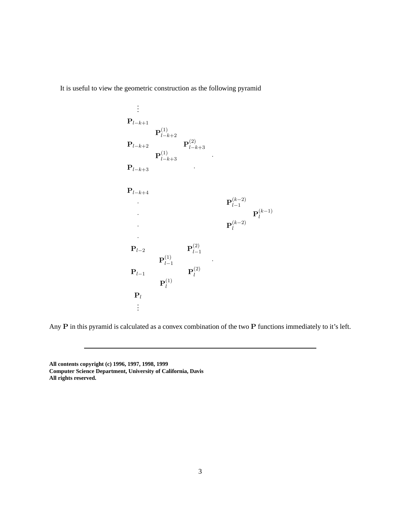It is useful to view the geometric construction as the following pyramid

. . .  ${\bf P}_{l-k+1}$  $\mathbf{P}^{(1)}_{l=1}$  $l-k+2$  $\mathbf{P}_{l-k+2}$  P $_{l-i}^{(2)}$  $l-k+3$  ${\bf P}^{(1)}_{l-k+3}$  ·  ${\bf P}_{l-k+3}$  ${\bf P}_{l-k+4}$ •  ${\bf P}^{(k-2)}_{l-1}$  $l-1$  ${\bf P}_l^{(k-1)}$ l  $\mathbf{P}_l^{(k-2)}$ l ·  $\mathbf{P}_{l-2}$  P $\begin{matrix} \mathbf{P}^{(2)}_{l-1} \end{matrix}$  $l-1$  $\mathbf{P}^{(1)}_{l-}$  $\begin{array}{ccc} (1) & & \\ l-1 & & \end{array}$  $\mathbf{P}_{l-1}$  P $_{l}^{(2)}$ l  $\mathbf{P}_{l}^{(1)}$ l  ${\bf P}_l$ . . .

Any P in this pyramid is calculated as a convex combination of the two P functions immediately to it's left.

**All contents copyright (c) 1996, 1997, 1998, 1999 Computer Science Department, University of California, Davis All rights reserved.**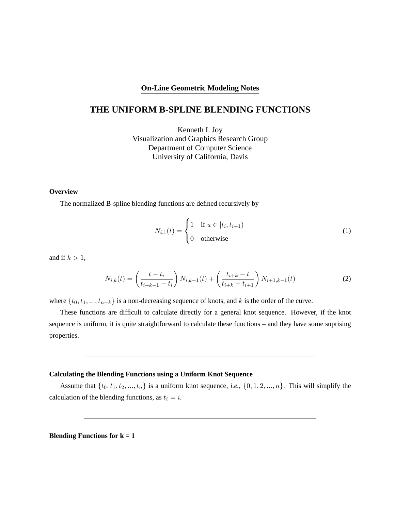### **On-Line Geometric Modeling Notes**

# **THE UNIFORM B-SPLINE BLENDING FUNCTIONS**

Kenneth I. Joy Visualization and Graphics Research Group Department of Computer Science University of California, Davis

### **Overview**

The normalized B-spline blending functions are defined recursively by

$$
N_{i,1}(t) = \begin{cases} 1 & \text{if } u \in [t_i, t_{i+1}) \\ 0 & \text{otherwise} \end{cases}
$$
 (1)

and if  $k > 1$ ,

$$
N_{i,k}(t) = \left(\frac{t - t_i}{t_{i+k-1} - t_i}\right) N_{i,k-1}(t) + \left(\frac{t_{i+k} - t}{t_{i+k} - t_{i+1}}\right) N_{i+1,k-1}(t)
$$
\n(2)

where  $\{t_0, t_1, ..., t_{n+k}\}$  is a non-decreasing sequence of knots, and k is the order of the curve.

These functions are difficult to calculate directly for a general knot sequence. However, if the knot sequence is uniform, it is quite straightforward to calculate these functions – and they have some suprising properties.

### **Calculating the Blending Functions using a Uniform Knot Sequence**

Assume that  $\{t_0, t_1, t_2, ..., t_n\}$  is a uniform knot sequence, *i.e.*,  $\{0, 1, 2, ..., n\}$ . This will simplify the calculation of the blending functions, as  $t_i = i$ .

**Blending Functions for k = 1**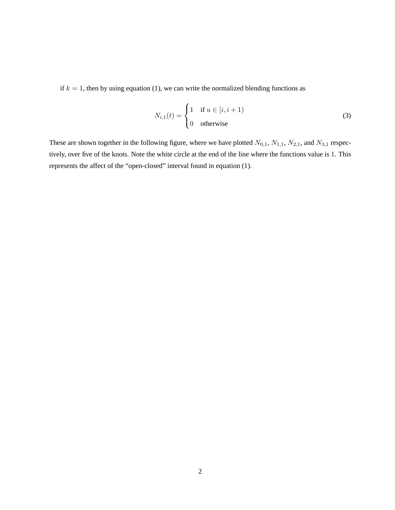if  $k = 1$ , then by using equation (1), we can write the normalized blending functions as

$$
N_{i,1}(t) = \begin{cases} 1 & \text{if } u \in [i, i+1) \\ 0 & \text{otherwise} \end{cases}
$$
 (3)

These are shown together in the following figure, where we have plotted  $N_{0,1}$ ,  $N_{1,1}$ ,  $N_{2,1}$ , and  $N_{3,1}$  respectively, over five of the knots. Note the white circle at the end of the line where the functions value is 1. This represents the affect of the "open-closed" interval found in equation (1).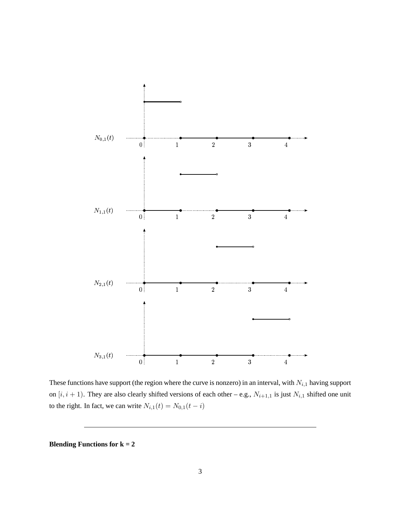

These functions have support (the region where the curve is nonzero) in an interval, with  $N_{i,1}$  having support on  $[i, i + 1)$ . They are also clearly shifted versions of each other – e.g.,  $N_{i+1,1}$  is just  $N_{i,1}$  shifted one unit to the right. In fact, we can write  $N_{i,1}(t) = N_{0,1}(t - i)$ 

**Blending Functions for k = 2**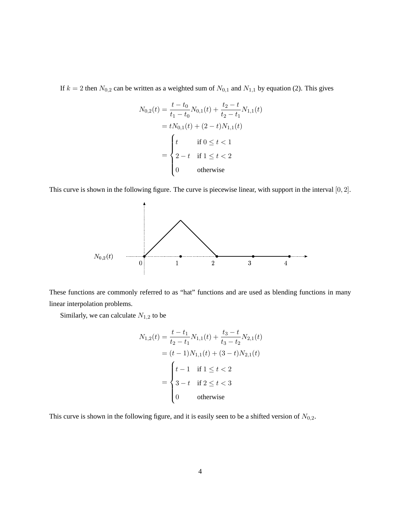If  $k = 2$  then  $N_{0,2}$  can be written as a weighted sum of  $N_{0,1}$  and  $N_{1,1}$  by equation (2). This gives

$$
N_{0,2}(t) = \frac{t - t_0}{t_1 - t_0} N_{0,1}(t) + \frac{t_2 - t}{t_2 - t_1} N_{1,1}(t)
$$
  
=  $tN_{0,1}(t) + (2 - t)N_{1,1}(t)$   
= 
$$
\begin{cases} t & \text{if } 0 \le t < 1 \\ 2 - t & \text{if } 1 \le t < 2 \\ 0 & \text{otherwise} \end{cases}
$$

This curve is shown in the following figure. The curve is piecewise linear, with support in the interval [0, 2].



These functions are commonly referred to as "hat" functions and are used as blending functions in many linear interpolation problems.

Similarly, we can calculate  $N_{1,2}$  to be

$$
N_{1,2}(t) = \frac{t - t_1}{t_2 - t_1} N_{1,1}(t) + \frac{t_3 - t}{t_3 - t_2} N_{2,1}(t)
$$
  
=  $(t - 1)N_{1,1}(t) + (3 - t)N_{2,1}(t)$   
= 
$$
\begin{cases} t - 1 & \text{if } 1 \le t < 2 \\ 3 - t & \text{if } 2 \le t < 3 \\ 0 & \text{otherwise} \end{cases}
$$

This curve is shown in the following figure, and it is easily seen to be a shifted version of  $N_{0,2}$ .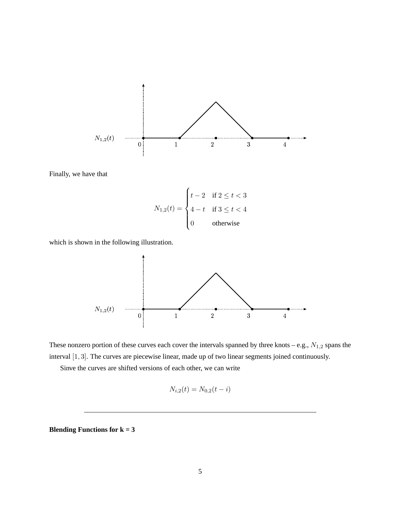

Finally, we have that

$$
N_{1,2}(t) = \begin{cases} t-2 & \text{if } 2 \le t < 3 \\ 4-t & \text{if } 3 \le t < 4 \\ 0 & \text{otherwise} \end{cases}
$$

which is shown in the following illustration.





Sinve the curves are shifted versions of each other, we can write

$$
N_{i,2}(t) = N_{0,2}(t - i)
$$

**Blending Functions for k = 3**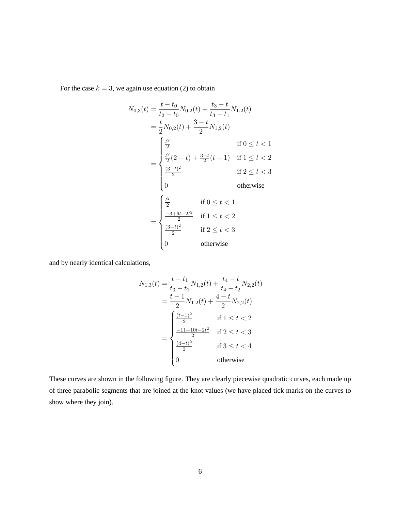For the case  $k = 3$ , we again use equation (2) to obtain

$$
N_{0,3}(t) = \frac{t - t_0}{t_2 - t_0} N_{0,2}(t) + \frac{t_3 - t}{t_3 - t_1} N_{1,2}(t)
$$
  
\n
$$
= \frac{t}{2} N_{0,2}(t) + \frac{3 - t}{2} N_{1,2}(t)
$$
  
\n
$$
= \begin{cases} \frac{t^2}{2} & \text{if } 0 \le t < 1 \\ \frac{t^2}{2} (2 - t) + \frac{3 - t}{2} (t - 1) & \text{if } 1 \le t < 2 \\ \frac{(3 - t)^2}{2} & \text{if } 2 \le t < 3 \end{cases}
$$
  
\n
$$
= \begin{cases} \frac{t^2}{2} & \text{if } 0 \le t < 1 \\ \frac{-3 + 6t - 2t^2}{2} & \text{if } 1 \le t < 2 \\ \frac{(3 - t)^2}{2} & \text{if } 2 \le t < 3 \\ 0 & \text{otherwise} \end{cases}
$$

and by nearly identical calculations,

$$
N_{1,3}(t) = \frac{t - t_1}{t_3 - t_1} N_{1,2}(t) + \frac{t_4 - t}{t_4 - t_2} N_{2,2}(t)
$$
  
= 
$$
\frac{t - 1}{2} N_{1,2}(t) + \frac{4 - t}{2} N_{2,2}(t)
$$
  
= 
$$
\begin{cases} \frac{(t - 1)^2}{2} & \text{if } 1 \le t < 2\\ \frac{-11 + 10t - 2t^2}{2} & \text{if } 2 \le t < 3\\ \frac{(4 - t)^2}{2} & \text{if } 3 \le t < 4\\ 0 & \text{otherwise} \end{cases}
$$

These curves are shown in the following figure. They are clearly piecewise quadratic curves, each made up of three parabolic segments that are joined at the knot values (we have placed tick marks on the curves to show where they join).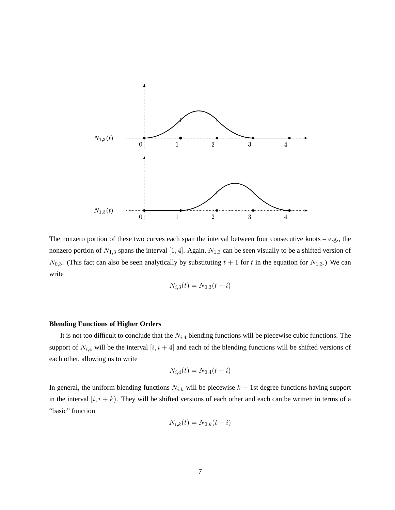

The nonzero portion of these two curves each span the interval between four consecutive knots – e.g., the nonzero portion of  $N_{1,3}$  spans the interval [1, 4]. Again,  $N_{1,3}$  can be seen visually to be a shifted version of  $N_{0,3}$ . (This fact can also be seen analytically by substituting  $t + 1$  for t in the equation for  $N_{1,3}$ .) We can write

$$
N_{i,3}(t) = N_{0,3}(t - i)
$$

### **Blending Functions of Higher Orders**

It is not too difficult to conclude that the  $N_{i,4}$  blending functions will be piecewise cubic functions. The support of  $N_{i,4}$  will be the interval  $[i, i + 4]$  and each of the blending functions will be shifted versions of each other, allowing us to write

$$
N_{i,4}(t) = N_{0,4}(t - i)
$$

In general, the uniform blending functions  $N_{i,k}$  will be piecewise  $k - 1$ st degree functions having support in the interval  $[i, i + k]$ . They will be shifted versions of each other and each can be written in terms of a "basic" function

$$
N_{i,k}(t) = N_{0,k}(t - i)
$$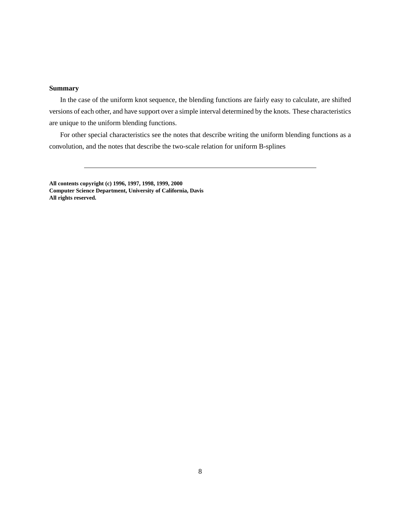### **Summary**

In the case of the uniform knot sequence, the blending functions are fairly easy to calculate, are shifted versions of each other, and have support over a simple interval determined by the knots. These characteristics are unique to the uniform blending functions.

For other special characteristics see the notes that describe writing the uniform blending functions as a convolution, and the notes that describe the two-scale relation for uniform B-splines

**All contents copyright (c) 1996, 1997, 1998, 1999, 2000 Computer Science Department, University of California, Davis All rights reserved.**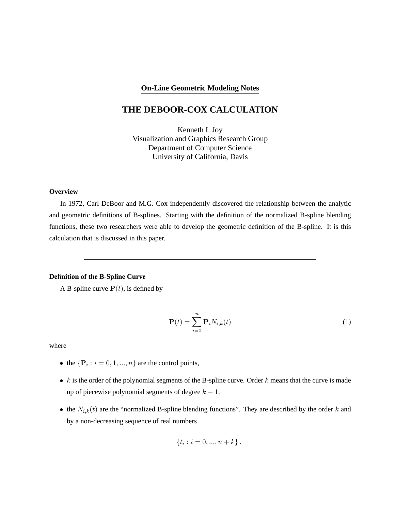### **On-Line Geometric Modeling Notes**

# **THE DEBOOR-COX CALCULATION**

Kenneth I. Joy Visualization and Graphics Research Group Department of Computer Science University of California, Davis

#### **Overview**

In 1972, Carl DeBoor and M.G. Cox independently discovered the relationship between the analytic and geometric definitions of B-splines. Starting with the definition of the normalized B-spline blending functions, these two researchers were able to develop the geometric definition of the B-spline. It is this calculation that is discussed in this paper.

### **Definition of the B-Spline Curve**

A B-spline curve  $P(t)$ , is defined by

$$
\mathbf{P}(t) = \sum_{i=0}^{n} \mathbf{P}_{i} N_{i,k}(t)
$$
 (1)

where

- the  $\{P_i : i = 0, 1, ..., n\}$  are the control points,
- $k$  is the order of the polynomial segments of the B-spline curve. Order  $k$  means that the curve is made up of piecewise polynomial segments of degree  $k - 1$ ,
- the  $N_{i,k}(t)$  are the "normalized B-spline blending functions". They are described by the order k and by a non-decreasing sequence of real numbers

$$
\{t_i : i = 0, ..., n + k\}.
$$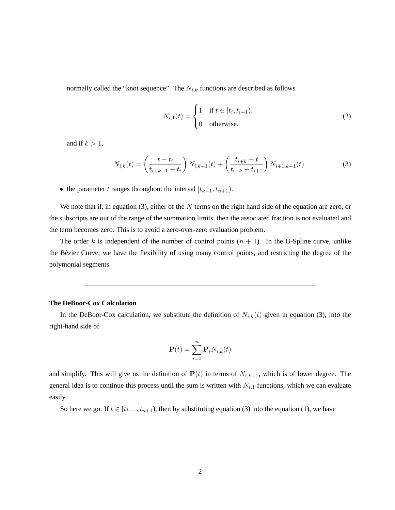normally called the "knot sequence". The  $N_{i,k}$  functions are described as follows

$$
N_{i,1}(t) = \begin{cases} 1 & \text{if } t \in [t_i, t_{i+1}), \\ 0 & \text{otherwise.} \end{cases} \tag{2}
$$

and if  $k > 1$ ,

$$
N_{i,k}(t) = \left(\frac{t - t_i}{t_{i+k-1} - t_i}\right) N_{i,k-1}(t) + \left(\frac{t_{i+k} - t}{t_{i+k} - t_{i+1}}\right) N_{i+1,k-1}(t)
$$
\n(3)

• the parameter t ranges throughout the interval  $[t_{k-1}, t_{n+1})$ .

We note that if, in equation (3), either of the  $N$  terms on the right hand side of the equation are zero, or the subscripts are out of the range of the summation limits, then the associated fraction is not evaluated and the term becomes zero. This is to avoid a zero-over-zero evaluation problem.

The order k is independent of the number of control points  $(n + 1)$ . In the B-Spline curve, unlike the Bezier Curve, we have the flexibility of using many control points, and restricting the degree of the ´ polymonial segments.

#### **The DeBoor-Cox Calculation**

In the DeBoor-Cox calculation, we substitute the definition of  $N_{i,k}(t)$  given in equation (3), into the right-hand side of

$$
\mathbf{P}(t) = \sum_{i=0}^{n} \mathbf{P}_{i} N_{i,k}(t)
$$

and simplify. This will give us the definition of  $P(t)$  in terms of  $N_{i,k-1}$ , which is of lower degree. The general idea is to continue this process until the sum is written with  $N_{i,1}$  functions, which we can evaluate easily.

So here we go. If  $t \in [t_{k-1}, t_{n+1})$ , then by substituting equation (3) into the equation (1), we have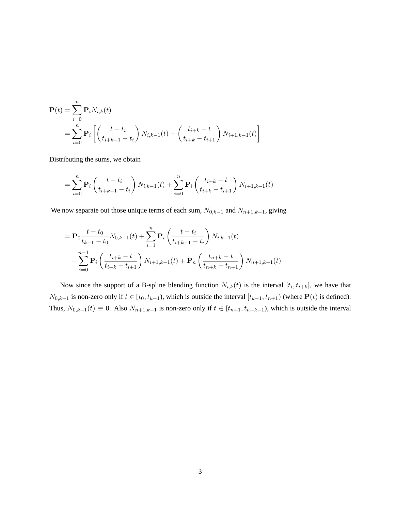$$
\mathbf{P}(t) = \sum_{i=0}^{n} \mathbf{P}_{i} N_{i,k}(t)
$$
  
= 
$$
\sum_{i=0}^{n} \mathbf{P}_{i} \left[ \left( \frac{t - t_{i}}{t_{i+k-1} - t_{i}} \right) N_{i,k-1}(t) + \left( \frac{t_{i+k} - t}{t_{i+k} - t_{i+1}} \right) N_{i+1,k-1}(t) \right]
$$

Distributing the sums, we obtain

$$
= \sum_{i=0}^{n} \mathbf{P}_{i} \left( \frac{t - t_{i}}{t_{i+k-1} - t_{i}} \right) N_{i,k-1}(t) + \sum_{i=0}^{n} \mathbf{P}_{i} \left( \frac{t_{i+k} - t}{t_{i+k} - t_{i+1}} \right) N_{i+1,k-1}(t)
$$

We now separate out those unique terms of each sum,  $N_{0,k-1}$  and  $N_{n+1,k-1}$ , giving

$$
= \mathbf{P}_0 \frac{t - t_0}{t_{k-1} - t_0} N_{0,k-1}(t) + \sum_{i=1}^n \mathbf{P}_i \left( \frac{t - t_i}{t_{i+k-1} - t_i} \right) N_{i,k-1}(t)
$$
  
+ 
$$
\sum_{i=0}^{n-1} \mathbf{P}_i \left( \frac{t_{i+k} - t}{t_{i+k} - t_{i+1}} \right) N_{i+1,k-1}(t) + \mathbf{P}_n \left( \frac{t_{n+k} - t}{t_{n+k} - t_{n+1}} \right) N_{n+1,k-1}(t)
$$

Now since the support of a B-spline blending function  $N_{i,k}(t)$  is the interval  $[t_i, t_{i+k}]$ , we have that  $N_{0,k-1}$  is non-zero only if  $t \in [t_0, t_{k-1})$ , which is outside the interval  $[t_{k-1}, t_{n+1})$  (where  $\mathbf{P}(t)$  is defined). Thus,  $N_{0,k-1}(t) \equiv 0$ . Also  $N_{n+1,k-1}$  is non-zero only if  $t \in [t_{n+1}, t_{n+k-1})$ , which is outside the interval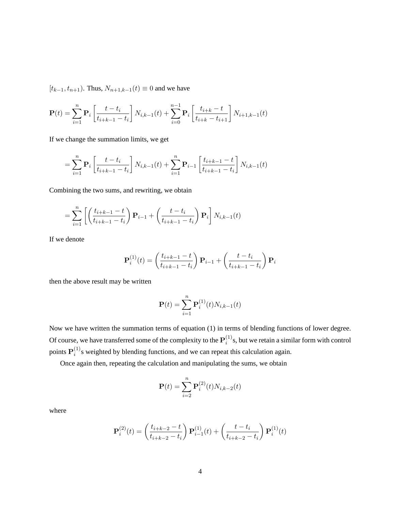$[t_{k-1}, t_{n+1})$ . Thus,  $N_{n+1,k-1}(t) \equiv 0$  and we have

$$
\mathbf{P}(t) = \sum_{i=1}^{n} \mathbf{P}_{i} \left[ \frac{t - t_{i}}{t_{i+k-1} - t_{i}} \right] N_{i,k-1}(t) + \sum_{i=0}^{n-1} \mathbf{P}_{i} \left[ \frac{t_{i+k} - t}{t_{i+k} - t_{i+1}} \right] N_{i+1,k-1}(t)
$$

If we change the summation limits, we get

$$
= \sum_{i=1}^{n} \mathbf{P}_{i} \left[ \frac{t - t_{i}}{t_{i+k-1} - t_{i}} \right] N_{i,k-1}(t) + \sum_{i=1}^{n} \mathbf{P}_{i-1} \left[ \frac{t_{i+k-1} - t}{t_{i+k-1} - t_{i}} \right] N_{i,k-1}(t)
$$

Combining the two sums, and rewriting, we obtain

$$
= \sum_{i=1}^{n} \left[ \left( \frac{t_{i+k-1} - t}{t_{i+k-1} - t_i} \right) \mathbf{P}_{i-1} + \left( \frac{t - t_i}{t_{i+k-1} - t_i} \right) \mathbf{P}_i \right] N_{i,k-1}(t)
$$

If we denote

$$
\mathbf{P}_{i}^{(1)}(t) = \left(\frac{t_{i+k-1} - t}{t_{i+k-1} - t_i}\right) \mathbf{P}_{i-1} + \left(\frac{t - t_i}{t_{i+k-1} - t_i}\right) \mathbf{P}_{i}
$$

then the above result may be written

$$
\mathbf{P}(t) = \sum_{i=1}^{n} \mathbf{P}_i^{(1)}(t) N_{i,k-1}(t)
$$

Now we have written the summation terms of equation (1) in terms of blending functions of lower degree. Of course, we have transferred some of the complexity to the  $P_i^{(1)}$  $i^{(1)}$ s, but we retain a similar form with control points  ${\bf P}_i^{(1)}$  $i<sup>(1)</sup>s$  weighted by blending functions, and we can repeat this calculation again.

Once again then, repeating the calculation and manipulating the sums, we obtain

$$
\mathbf{P}(t) = \sum_{i=2}^{n} \mathbf{P}_i^{(2)}(t) N_{i,k-2}(t)
$$

where

$$
\mathbf{P}_{i}^{(2)}(t) = \left(\frac{t_{i+k-2} - t}{t_{i+k-2} - t_i}\right) \mathbf{P}_{i-1}^{(1)}(t) + \left(\frac{t - t_i}{t_{i+k-2} - t_i}\right) \mathbf{P}_{i}^{(1)}(t)
$$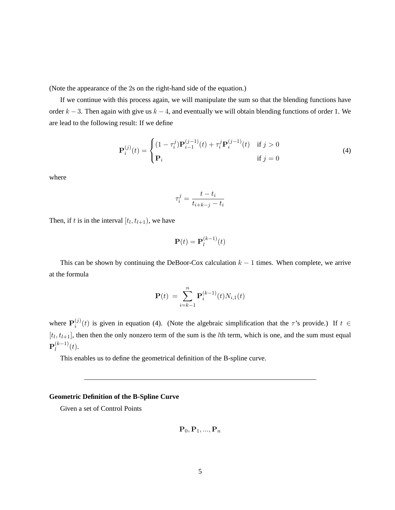(Note the appearance of the 2s on the right-hand side of the equation.)

If we continue with this process again, we will manipulate the sum so that the blending functions have order  $k - 3$ . Then again with give us  $k - 4$ , and eventually we will obtain blending functions of order 1. We are lead to the following result: If we define

$$
\mathbf{P}_{i}^{(j)}(t) = \begin{cases} (1 - \tau_{i}^{j}) \mathbf{P}_{i-1}^{(j-1)}(t) + \tau_{i}^{j} \mathbf{P}_{i}^{(j-1)}(t) & \text{if } j > 0\\ \mathbf{P}_{i} & \text{if } j = 0 \end{cases}
$$
(4)

where

$$
\tau_i^j = \frac{t - t_i}{t_{i+k-j} - t_i}
$$

Then, if t is in the interval  $[t_l, t_{l+1})$ , we have

$$
\mathbf{P}(t) = \mathbf{P}_l^{(k-1)}(t)
$$

This can be shown by continuing the DeBoor-Cox calculation  $k - 1$  times. When complete, we arrive at the formula

$$
\mathbf{P}(t) = \sum_{i=k-1}^{n} \mathbf{P}_i^{(k-1)}(t) N_{i,1}(t)
$$

where  ${\bf P}_i^{(j)}$  $i^{(j)}(t)$  is given in equation (4). (Note the algebraic simplification that the  $\tau$ 's provide.) If  $t \in$  $[t_l, t_{l+1}]$ , then then the only nonzero term of the sum is the *l*th term, which is one, and the sum must equal  $\mathbf{P}_{l}^{(k-1)}$  $\binom{k-1}{l}(t)$ .

This enables us to define the geometrical definition of the B-spline curve.

### **Geometric Definition of the B-Spline Curve**

Given a set of Control Points

$$
\mathbf{P}_0, \mathbf{P}_1, ..., \mathbf{P}_n
$$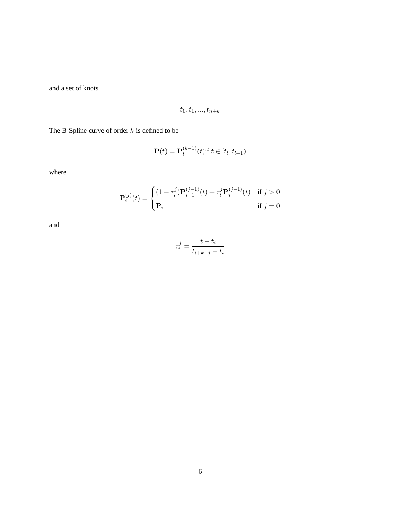and a set of knots

$$
t_0, t_1, \ldots, t_{n+k}
$$

The B-Spline curve of order  $k$  is defined to be

$$
\mathbf{P}(t) = \mathbf{P}_l^{(k-1)}(t) \text{if } t \in [t_l, t_{l+1})
$$

where

$$
\mathbf{P}_{i}^{(j)}(t) = \begin{cases} (1 - \tau_{i}^{j}) \mathbf{P}_{i-1}^{(j-1)}(t) + \tau_{i}^{j} \mathbf{P}_{i}^{(j-1)}(t) & \text{if } j > 0\\ \mathbf{P}_{i} & \text{if } j = 0 \end{cases}
$$

and

$$
\tau_i^j = \frac{t - t_i}{t_{i+k-j} - t_i}
$$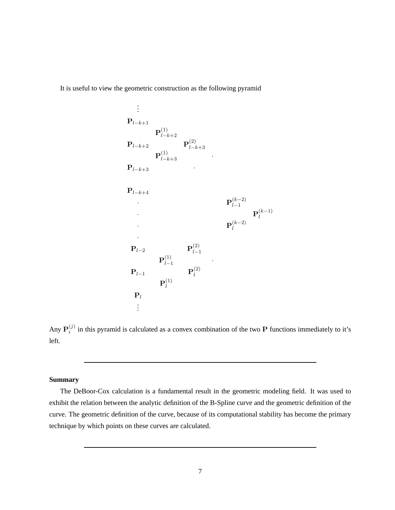It is useful to view the geometric construction as the following pyramid



Any  ${\bf P}_i^{(j)}$  $i_j^{(j)}$  in this pyramid is calculated as a convex combination of the two P functions immediately to it's left.

### **Summary**

The DeBoor-Cox calculation is a fundamental result in the geometric modeling field. It was used to exhibit the relation between the analytic definition of the B-Spline curve and the geometric definition of the curve. The geometric definition of the curve, because of its computational stability has become the primary technique by which points on these curves are calculated.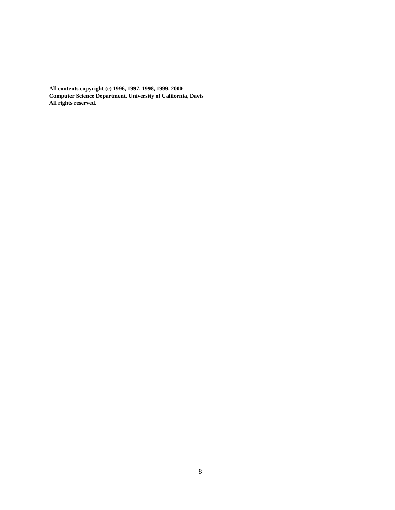**All contents copyright (c) 1996, 1997, 1998, 1999, 2000 Computer Science Department, University of California, Davis All rights reserved.**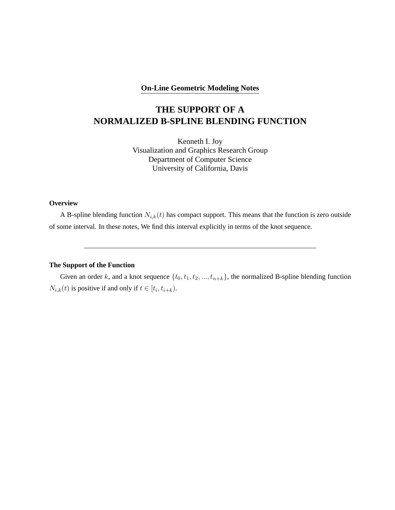### **On-Line Geometric Modeling Notes**

# **THE SUPPORT OF A NORMALIZED B-SPLINE BLENDING FUNCTION**

Kenneth I. Joy Visualization and Graphics Research Group Department of Computer Science University of California, Davis

### **Overview**

A B-spline blending function  $N_{i,k}(t)$  has compact support. This means that the function is zero outside of some interval. In these notes, We find this interval explicitly in terms of the knot sequence.

## **The Support of the Function**

Given an order k, and a knot sequence  $\{t_0, t_1, t_2, ..., t_{n+k}\}$ , the normalized B-spline blending function  $N_{i,k}(t)$  is positive if and only if  $t \in [t_i, t_{i+k})$ .